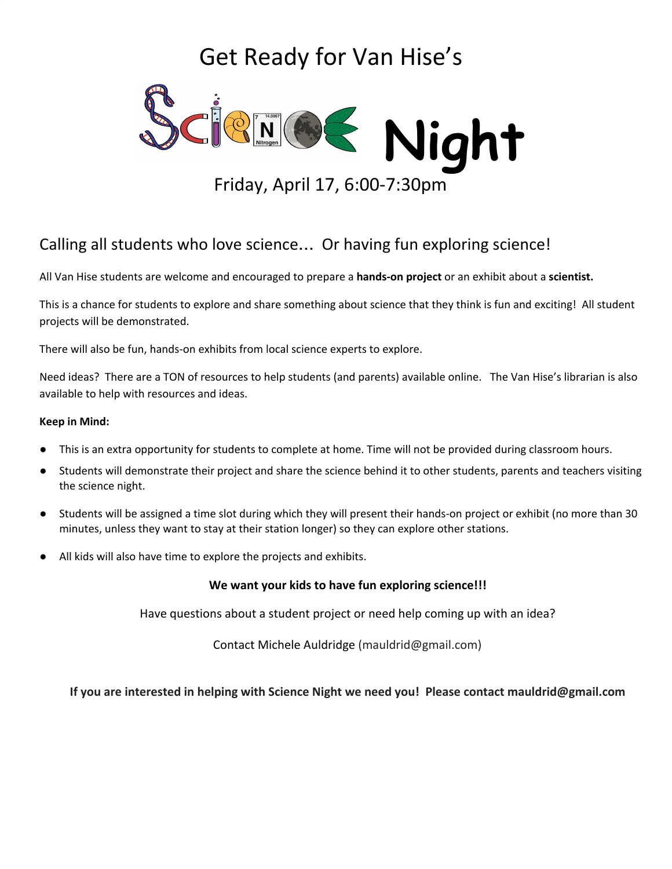# Get Ready for Van Hise's



# Calling all students who love science… Or having fun exploring science!

All Van Hise students are welcome and encouraged to prepare a **hands-on project** or an exhibit about a **scientist.**

This is a chance for students to explore and share something about science that they think is fun and exciting! All student projects will be demonstrated.

There will also be fun, hands-on exhibits from local science experts to explore.

Need ideas? There are a TON of resources to help students (and parents) available online. The Van Hise's librarian is also available to help with resources and ideas.

#### **Keep in Mind:**

- This is an extra opportunity for students to complete at home. Time will not be provided during classroom hours.
- Students will demonstrate their project and share the science behind it to other students, parents and teachers visiting the science night.
- Students will be assigned a time slot during which they will present their hands-on project or exhibit (no more than 30 minutes, unless they want to stay at their station longer) so they can explore other stations.
- All kids will also have time to explore the projects and exhibits.

# **We want your kids to have fun exploring science!!!**

Have questions about a student project or need help coming up with an idea?

Contact Michele Auldridge (mauldrid@gmail.com)

# **If you are interested in helping with Science Night we need you! Please contact mauldrid@gmail.com**